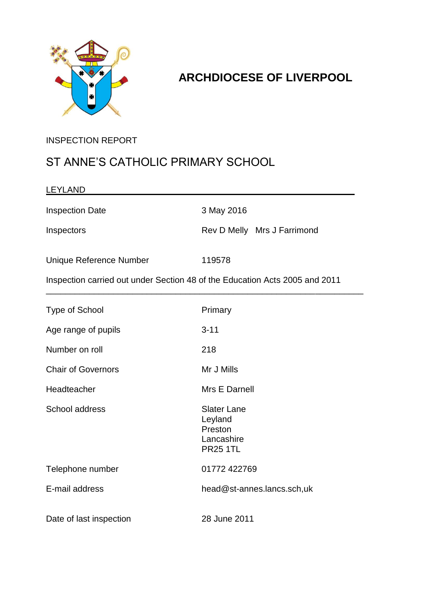

## **ARCHDIOCESE OF LIVERPOOL**

### INSPECTION REPORT

## ST ANNE'S CATHOLIC PRIMARY SCHOOL

| <b>LEYLAND</b>                                                              |                                                                           |
|-----------------------------------------------------------------------------|---------------------------------------------------------------------------|
| <b>Inspection Date</b>                                                      | 3 May 2016                                                                |
| Inspectors                                                                  | Rev D Melly Mrs J Farrimond                                               |
| <b>Unique Reference Number</b>                                              | 119578                                                                    |
| Inspection carried out under Section 48 of the Education Acts 2005 and 2011 |                                                                           |
| <b>Type of School</b>                                                       | Primary                                                                   |
| Age range of pupils                                                         | $3 - 11$                                                                  |
| Number on roll                                                              | 218                                                                       |
| <b>Chair of Governors</b>                                                   | Mr J Mills                                                                |
| Headteacher                                                                 | Mrs E Darnell                                                             |
| School address                                                              | <b>Slater Lane</b><br>Leyland<br>Preston<br>Lancashire<br><b>PR25 1TL</b> |
| Telephone number                                                            | 01772 422769                                                              |
| E-mail address                                                              | head@st-annes.lancs.sch,uk                                                |
| Date of last inspection                                                     | 28 June 2011                                                              |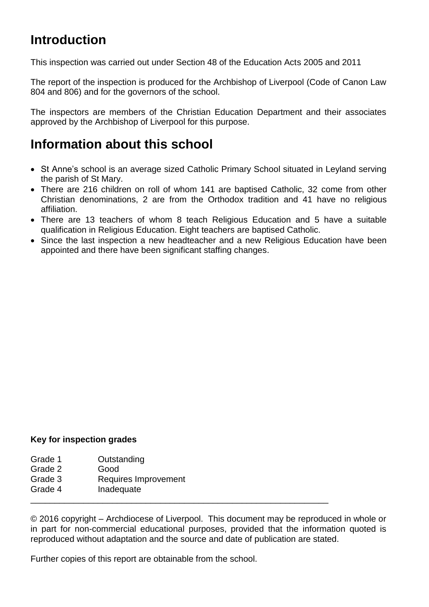# **Introduction**

This inspection was carried out under Section 48 of the Education Acts 2005 and 2011

The report of the inspection is produced for the Archbishop of Liverpool (Code of Canon Law 804 and 806) and for the governors of the school.

The inspectors are members of the Christian Education Department and their associates approved by the Archbishop of Liverpool for this purpose.

## **Information about this school**

- St Anne's school is an average sized Catholic Primary School situated in Leyland serving the parish of St Mary.
- There are 216 children on roll of whom 141 are baptised Catholic, 32 come from other Christian denominations, 2 are from the Orthodox tradition and 41 have no religious affiliation.
- There are 13 teachers of whom 8 teach Religious Education and 5 have a suitable qualification in Religious Education. Eight teachers are baptised Catholic.
- Since the last inspection a new headteacher and a new Religious Education have been appointed and there have been significant staffing changes.

#### **Key for inspection grades**

- Grade 1 Outstanding
- Grade 2 Good
- Grade 3 Requires Improvement
- Grade 4 Inadequate

© 2016 copyright – Archdiocese of Liverpool. This document may be reproduced in whole or in part for non-commercial educational purposes, provided that the information quoted is reproduced without adaptation and the source and date of publication are stated.

\_\_\_\_\_\_\_\_\_\_\_\_\_\_\_\_\_\_\_\_\_\_\_\_\_\_\_\_\_\_\_\_\_\_\_\_\_\_\_\_\_\_\_\_\_\_\_\_\_\_\_\_\_\_\_\_\_\_\_\_\_\_

Further copies of this report are obtainable from the school.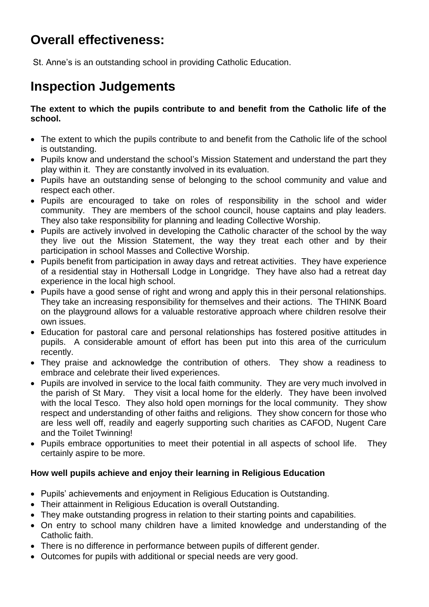# **Overall effectiveness:**

St. Anne's is an outstanding school in providing Catholic Education.

# **Inspection Judgements**

**The extent to which the pupils contribute to and benefit from the Catholic life of the school.**

- The extent to which the pupils contribute to and benefit from the Catholic life of the school is outstanding.
- Pupils know and understand the school's Mission Statement and understand the part they play within it. They are constantly involved in its evaluation.
- Pupils have an outstanding sense of belonging to the school community and value and respect each other.
- Pupils are encouraged to take on roles of responsibility in the school and wider community. They are members of the school council, house captains and play leaders. They also take responsibility for planning and leading Collective Worship.
- Pupils are actively involved in developing the Catholic character of the school by the way they live out the Mission Statement, the way they treat each other and by their participation in school Masses and Collective Worship.
- Pupils benefit from participation in away days and retreat activities. They have experience of a residential stay in Hothersall Lodge in Longridge. They have also had a retreat day experience in the local high school.
- Pupils have a good sense of right and wrong and apply this in their personal relationships. They take an increasing responsibility for themselves and their actions. The THINK Board on the playground allows for a valuable restorative approach where children resolve their own issues.
- Education for pastoral care and personal relationships has fostered positive attitudes in pupils. A considerable amount of effort has been put into this area of the curriculum recently.
- They praise and acknowledge the contribution of others. They show a readiness to embrace and celebrate their lived experiences.
- Pupils are involved in service to the local faith community. They are very much involved in the parish of St Mary. They visit a local home for the elderly. They have been involved with the local Tesco. They also hold open mornings for the local community. They show respect and understanding of other faiths and religions. They show concern for those who are less well off, readily and eagerly supporting such charities as CAFOD, Nugent Care and the Toilet Twinning!
- Pupils embrace opportunities to meet their potential in all aspects of school life. They certainly aspire to be more.

#### **How well pupils achieve and enjoy their learning in Religious Education**

- Pupils' achievements and enjoyment in Religious Education is Outstanding.
- Their attainment in Religious Education is overall Outstanding.
- They make outstanding progress in relation to their starting points and capabilities.
- On entry to school many children have a limited knowledge and understanding of the Catholic faith.
- There is no difference in performance between pupils of different gender.
- Outcomes for pupils with additional or special needs are very good.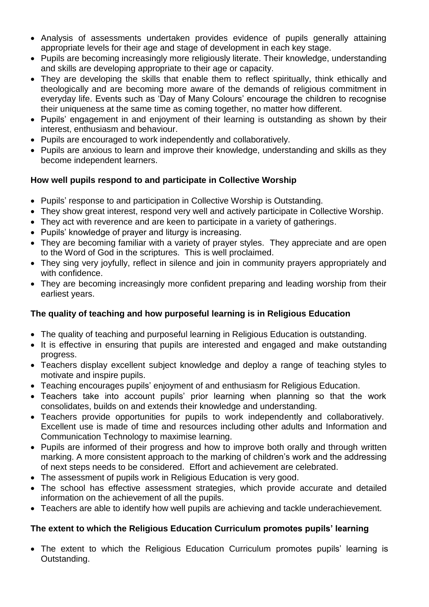- Analysis of assessments undertaken provides evidence of pupils generally attaining appropriate levels for their age and stage of development in each key stage.
- Pupils are becoming increasingly more religiously literate. Their knowledge, understanding and skills are developing appropriate to their age or capacity.
- They are developing the skills that enable them to reflect spiritually, think ethically and theologically and are becoming more aware of the demands of religious commitment in everyday life. Events such as 'Day of Many Colours' encourage the children to recognise their uniqueness at the same time as coming together, no matter how different.
- Pupils' engagement in and enjoyment of their learning is outstanding as shown by their interest, enthusiasm and behaviour.
- Pupils are encouraged to work independently and collaboratively.
- Pupils are anxious to learn and improve their knowledge, understanding and skills as they become independent learners.

#### **How well pupils respond to and participate in Collective Worship**

- Pupils' response to and participation in Collective Worship is Outstanding.
- They show great interest, respond very well and actively participate in Collective Worship.
- They act with reverence and are keen to participate in a variety of gatherings.
- Pupils' knowledge of prayer and liturgy is increasing.
- They are becoming familiar with a variety of prayer styles. They appreciate and are open to the Word of God in the scriptures. This is well proclaimed.
- They sing very joyfully, reflect in silence and join in community prayers appropriately and with confidence.
- They are becoming increasingly more confident preparing and leading worship from their earliest years.

#### **The quality of teaching and how purposeful learning is in Religious Education**

- The quality of teaching and purposeful learning in Religious Education is outstanding.
- It is effective in ensuring that pupils are interested and engaged and make outstanding progress.
- Teachers display excellent subject knowledge and deploy a range of teaching styles to motivate and inspire pupils.
- Teaching encourages pupils' enjoyment of and enthusiasm for Religious Education.
- Teachers take into account pupils' prior learning when planning so that the work consolidates, builds on and extends their knowledge and understanding.
- Teachers provide opportunities for pupils to work independently and collaboratively. Excellent use is made of time and resources including other adults and Information and Communication Technology to maximise learning.
- Pupils are informed of their progress and how to improve both orally and through written marking. A more consistent approach to the marking of children's work and the addressing of next steps needs to be considered. Effort and achievement are celebrated.
- The assessment of pupils work in Religious Education is very good.
- The school has effective assessment strategies, which provide accurate and detailed information on the achievement of all the pupils.
- Teachers are able to identify how well pupils are achieving and tackle underachievement.

#### **The extent to which the Religious Education Curriculum promotes pupils' learning**

 The extent to which the Religious Education Curriculum promotes pupils' learning is Outstanding.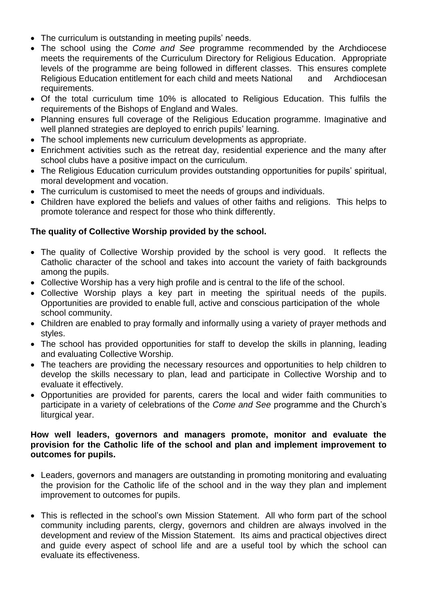- The curriculum is outstanding in meeting pupils' needs.
- The school using the *Come and See* programme recommended by the Archdiocese meets the requirements of the Curriculum Directory for Religious Education. Appropriate levels of the programme are being followed in different classes. This ensures complete Religious Education entitlement for each child and meets National and Archdiocesan requirements.
- Of the total curriculum time 10% is allocated to Religious Education. This fulfils the requirements of the Bishops of England and Wales.
- Planning ensures full coverage of the Religious Education programme. Imaginative and well planned strategies are deployed to enrich pupils' learning.
- The school implements new curriculum developments as appropriate.
- Enrichment activities such as the retreat day, residential experience and the many after school clubs have a positive impact on the curriculum.
- The Religious Education curriculum provides outstanding opportunities for pupils' spiritual, moral development and vocation.
- The curriculum is customised to meet the needs of groups and individuals.
- Children have explored the beliefs and values of other faiths and religions. This helps to promote tolerance and respect for those who think differently.

#### **The quality of Collective Worship provided by the school.**

- The quality of Collective Worship provided by the school is very good. It reflects the Catholic character of the school and takes into account the variety of faith backgrounds among the pupils.
- Collective Worship has a very high profile and is central to the life of the school.
- Collective Worship plays a key part in meeting the spiritual needs of the pupils. Opportunities are provided to enable full, active and conscious participation of the whole school community.
- Children are enabled to pray formally and informally using a variety of prayer methods and styles.
- The school has provided opportunities for staff to develop the skills in planning, leading and evaluating Collective Worship.
- The teachers are providing the necessary resources and opportunities to help children to develop the skills necessary to plan, lead and participate in Collective Worship and to evaluate it effectively.
- Opportunities are provided for parents, carers the local and wider faith communities to participate in a variety of celebrations of the *Come and See* programme and the Church's liturgical year.

#### **How well leaders, governors and managers promote, monitor and evaluate the provision for the Catholic life of the school and plan and implement improvement to outcomes for pupils.**

- Leaders, governors and managers are outstanding in promoting monitoring and evaluating the provision for the Catholic life of the school and in the way they plan and implement improvement to outcomes for pupils.
- This is reflected in the school's own Mission Statement. All who form part of the school community including parents, clergy, governors and children are always involved in the development and review of the Mission Statement. Its aims and practical objectives direct and guide every aspect of school life and are a useful tool by which the school can evaluate its effectiveness.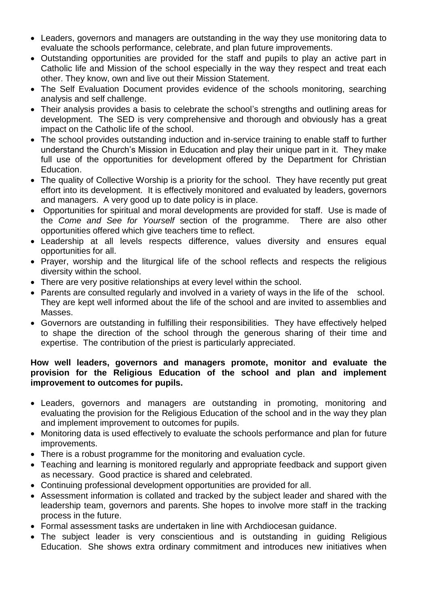- Leaders, governors and managers are outstanding in the way they use monitoring data to evaluate the schools performance, celebrate, and plan future improvements.
- Outstanding opportunities are provided for the staff and pupils to play an active part in Catholic life and Mission of the school especially in the way they respect and treat each other. They know, own and live out their Mission Statement.
- The Self Evaluation Document provides evidence of the schools monitoring, searching analysis and self challenge.
- Their analysis provides a basis to celebrate the school's strengths and outlining areas for development. The SED is very comprehensive and thorough and obviously has a great impact on the Catholic life of the school.
- The school provides outstanding induction and in-service training to enable staff to further understand the Church's Mission in Education and play their unique part in it. They make full use of the opportunities for development offered by the Department for Christian Education.
- The quality of Collective Worship is a priority for the school. They have recently put great effort into its development. It is effectively monitored and evaluated by leaders, governors and managers. A very good up to date policy is in place.
- Opportunities for spiritual and moral developments are provided for staff. Use is made of the *Come and See for Yourself* section of the programme. There are also other opportunities offered which give teachers time to reflect.
- Leadership at all levels respects difference, values diversity and ensures equal opportunities for all.
- Prayer, worship and the liturgical life of the school reflects and respects the religious diversity within the school.
- There are very positive relationships at every level within the school.
- Parents are consulted regularly and involved in a variety of ways in the life of the school. They are kept well informed about the life of the school and are invited to assemblies and Masses.
- Governors are outstanding in fulfilling their responsibilities. They have effectively helped to shape the direction of the school through the generous sharing of their time and expertise. The contribution of the priest is particularly appreciated.

#### **How well leaders, governors and managers promote, monitor and evaluate the provision for the Religious Education of the school and plan and implement improvement to outcomes for pupils.**

- Leaders, governors and managers are outstanding in promoting, monitoring and evaluating the provision for the Religious Education of the school and in the way they plan and implement improvement to outcomes for pupils.
- Monitoring data is used effectively to evaluate the schools performance and plan for future improvements.
- There is a robust programme for the monitoring and evaluation cycle.
- Teaching and learning is monitored regularly and appropriate feedback and support given as necessary. Good practice is shared and celebrated.
- Continuing professional development opportunities are provided for all.
- Assessment information is collated and tracked by the subject leader and shared with the leadership team, governors and parents. She hopes to involve more staff in the tracking process in the future.
- Formal assessment tasks are undertaken in line with Archdiocesan guidance.
- The subject leader is very conscientious and is outstanding in quiding Religious Education. She shows extra ordinary commitment and introduces new initiatives when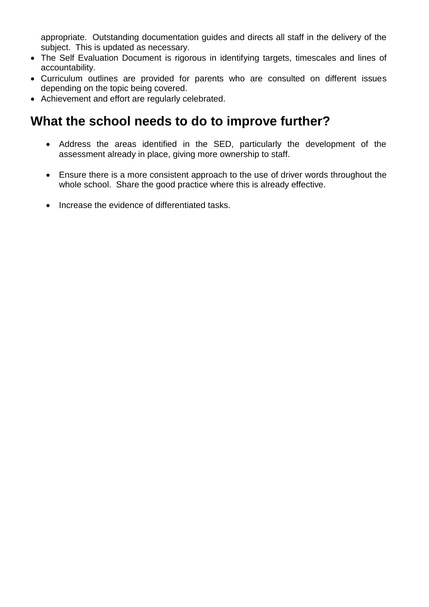appropriate. Outstanding documentation guides and directs all staff in the delivery of the subject. This is updated as necessary.

- The Self Evaluation Document is rigorous in identifying targets, timescales and lines of accountability.
- Curriculum outlines are provided for parents who are consulted on different issues depending on the topic being covered.
- Achievement and effort are regularly celebrated.

## **What the school needs to do to improve further?**

- Address the areas identified in the SED, particularly the development of the assessment already in place, giving more ownership to staff.
- Ensure there is a more consistent approach to the use of driver words throughout the whole school. Share the good practice where this is already effective.
- Increase the evidence of differentiated tasks.